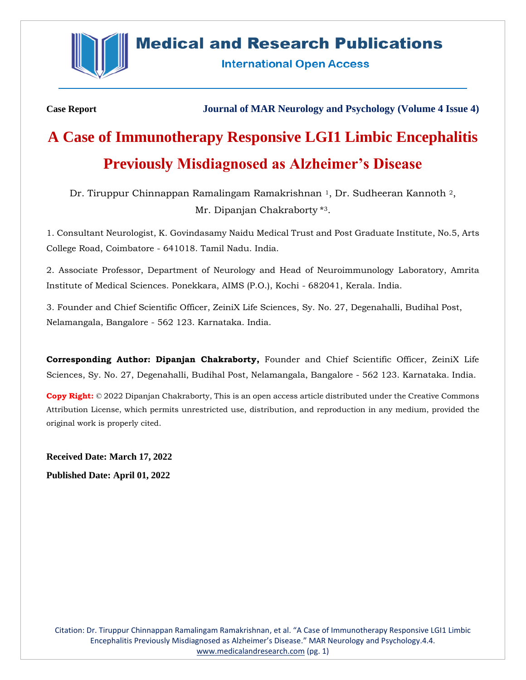

# **Medical and Research Publications**

**International Open Access** 

**Case Report Journal of MAR Neurology and Psychology (Volume 4 Issue 4)**

# **A Case of Immunotherapy Responsive LGI1 Limbic Encephalitis Previously Misdiagnosed as Alzheimer's Disease**

Dr. Tiruppur Chinnappan Ramalingam Ramakrishnan <sup>1</sup>, Dr. Sudheeran Kannoth <sup>2</sup>, Mr. Dipanjan Chakraborty<sup>\*3</sup>.

1. Consultant Neurologist, K. Govindasamy Naidu Medical Trust and Post Graduate Institute, No.5, Arts College Road, Coimbatore - 641018. Tamil Nadu. India.

2. Associate Professor, Department of Neurology and Head of Neuroimmunology Laboratory, Amrita Institute of Medical Sciences. Ponekkara, AIMS (P.O.), Kochi - 682041, Kerala. India.

3. Founder and Chief Scientific Officer, ZeiniX Life Sciences, Sy. No. 27, Degenahalli, Budihal Post, Nelamangala, Bangalore - 562 123. Karnataka. India.

**Corresponding Author: Dipanjan Chakraborty,** Founder and Chief Scientific Officer, ZeiniX Life Sciences, Sy. No. 27, Degenahalli, Budihal Post, Nelamangala, Bangalore - 562 123. Karnataka. India.

**Copy Right:** © 2022 Dipanjan Chakraborty, This is an open access article distributed under the Creative Commons Attribution License, which permits unrestricted use, distribution, and reproduction in any medium, provided the original work is properly cited.

**Received Date: March 17, 2022 Published Date: April 01, 2022**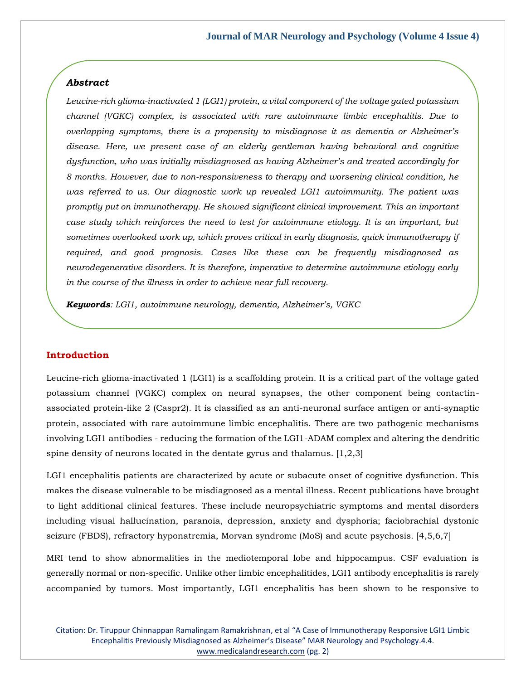# *Abstract*

*Leucine-rich glioma-inactivated 1 (LGI1) protein, a vital component of the voltage gated potassium channel (VGKC) complex, is associated with rare autoimmune limbic encephalitis. Due to overlapping symptoms, there is a propensity to misdiagnose it as dementia or Alzheimer's disease. Here, we present case of an elderly gentleman having behavioral and cognitive dysfunction, who was initially misdiagnosed as having Alzheimer's and treated accordingly for 8 months. However, due to non-responsiveness to therapy and worsening clinical condition, he was referred to us. Our diagnostic work up revealed LGI1 autoimmunity. The patient was promptly put on immunotherapy. He showed significant clinical improvement. This an important case study which reinforces the need to test for autoimmune etiology. It is an important, but sometimes overlooked work up, which proves critical in early diagnosis, quick immunotherapy if required, and good prognosis. Cases like these can be frequently misdiagnosed as neurodegenerative disorders. It is therefore, imperative to determine autoimmune etiology early in the course of the illness in order to achieve near full recovery.*

*Keywords: LGI1, autoimmune neurology, dementia, Alzheimer's, VGKC*

# **Introduction**

Leucine-rich glioma-inactivated 1 (LGI1) is a scaffolding protein. It is a critical part of the voltage gated potassium channel (VGKC) complex on neural synapses, the other component being contactinassociated protein-like 2 (Caspr2). It is classified as an anti-neuronal surface antigen or anti-synaptic protein, associated with rare autoimmune limbic encephalitis. There are two pathogenic mechanisms involving LGI1 antibodies - reducing the formation of the LGI1-ADAM complex and altering the dendritic spine density of neurons located in the dentate gyrus and thalamus. [1,2,3]

LGI1 encephalitis patients are characterized by acute or subacute onset of cognitive dysfunction. This makes the disease vulnerable to be misdiagnosed as a mental illness. Recent publications have brought to light additional clinical features. These include neuropsychiatric symptoms and mental disorders including visual hallucination, paranoia, depression, anxiety and dysphoria; faciobrachial dystonic seizure (FBDS), refractory hyponatremia, Morvan syndrome (MoS) and acute psychosis. [4,5,6,7]

MRI tend to show abnormalities in the mediotemporal lobe and hippocampus. CSF evaluation is generally normal or non-specific. Unlike other limbic encephalitides, LGI1 antibody encephalitis is rarely accompanied by tumors. Most importantly, LGI1 encephalitis has been shown to be responsive to

Citation: Dr. Tiruppur Chinnappan Ramalingam Ramakrishnan, et al "A Case of Immunotherapy Responsive LGI1 Limbic Encephalitis Previously Misdiagnosed as Alzheimer's Disease" MAR Neurology and Psychology.4.4. [www.medicalandresearch.com](http://www.medicalandresearch.com/) (pg. 2)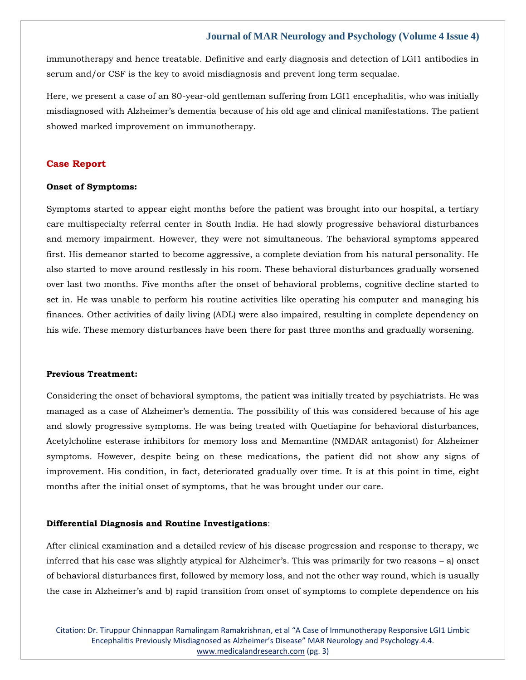immunotherapy and hence treatable. Definitive and early diagnosis and detection of LGI1 antibodies in serum and/or CSF is the key to avoid misdiagnosis and prevent long term sequalae.

Here, we present a case of an 80-year-old gentleman suffering from LGI1 encephalitis, who was initially misdiagnosed with Alzheimer's dementia because of his old age and clinical manifestations. The patient showed marked improvement on immunotherapy.

# **Case Report**

#### **Onset of Symptoms:**

Symptoms started to appear eight months before the patient was brought into our hospital, a tertiary care multispecialty referral center in South India. He had slowly progressive behavioral disturbances and memory impairment. However, they were not simultaneous. The behavioral symptoms appeared first. His demeanor started to become aggressive, a complete deviation from his natural personality. He also started to move around restlessly in his room. These behavioral disturbances gradually worsened over last two months. Five months after the onset of behavioral problems, cognitive decline started to set in. He was unable to perform his routine activities like operating his computer and managing his finances. Other activities of daily living (ADL) were also impaired, resulting in complete dependency on his wife. These memory disturbances have been there for past three months and gradually worsening.

#### **Previous Treatment:**

Considering the onset of behavioral symptoms, the patient was initially treated by psychiatrists. He was managed as a case of Alzheimer's dementia. The possibility of this was considered because of his age and slowly progressive symptoms. He was being treated with Quetiapine for behavioral disturbances, Acetylcholine esterase inhibitors for memory loss and Memantine (NMDAR antagonist) for Alzheimer symptoms. However, despite being on these medications, the patient did not show any signs of improvement. His condition, in fact, deteriorated gradually over time. It is at this point in time, eight months after the initial onset of symptoms, that he was brought under our care.

#### **Differential Diagnosis and Routine Investigations**:

After clinical examination and a detailed review of his disease progression and response to therapy, we inferred that his case was slightly atypical for Alzheimer's. This was primarily for two reasons – a) onset of behavioral disturbances first, followed by memory loss, and not the other way round, which is usually the case in Alzheimer's and b) rapid transition from onset of symptoms to complete dependence on his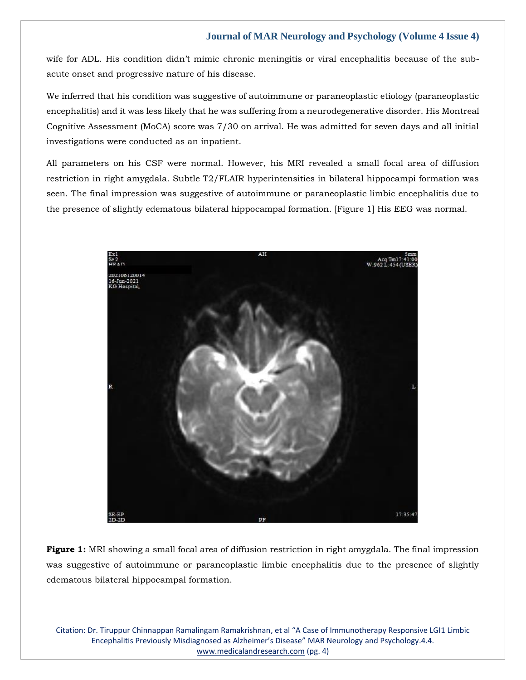wife for ADL. His condition didn't mimic chronic meningitis or viral encephalitis because of the subacute onset and progressive nature of his disease.

We inferred that his condition was suggestive of autoimmune or paraneoplastic etiology (paraneoplastic encephalitis) and it was less likely that he was suffering from a neurodegenerative disorder. His Montreal Cognitive Assessment (MoCA) score was 7/30 on arrival. He was admitted for seven days and all initial investigations were conducted as an inpatient.

All parameters on his CSF were normal. However, his MRI revealed a small focal area of diffusion restriction in right amygdala. Subtle T2/FLAIR hyperintensities in bilateral hippocampi formation was seen. The final impression was suggestive of autoimmune or paraneoplastic limbic encephalitis due to the presence of slightly edematous bilateral hippocampal formation. [Figure 1] His EEG was normal.



**Figure 1:** MRI showing a small focal area of diffusion restriction in right amygdala. The final impression was suggestive of autoimmune or paraneoplastic limbic encephalitis due to the presence of slightly edematous bilateral hippocampal formation.

Citation: Dr. Tiruppur Chinnappan Ramalingam Ramakrishnan, et al "A Case of Immunotherapy Responsive LGI1 Limbic Encephalitis Previously Misdiagnosed as Alzheimer's Disease" MAR Neurology and Psychology.4.4. [www.medicalandresearch.com](http://www.medicalandresearch.com/) (pg. 4)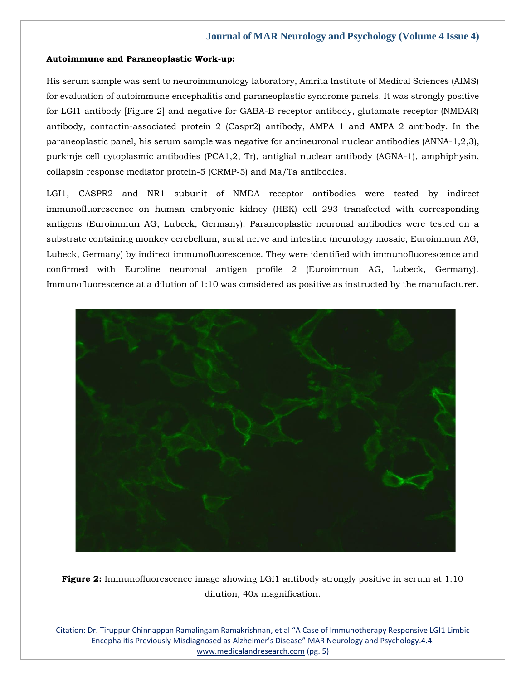#### **Autoimmune and Paraneoplastic Work-up:**

His serum sample was sent to neuroimmunology laboratory, Amrita Institute of Medical Sciences (AIMS) for evaluation of autoimmune encephalitis and paraneoplastic syndrome panels. It was strongly positive for LGI1 antibody [Figure 2] and negative for GABA-B receptor antibody, glutamate receptor (NMDAR) antibody, contactin-associated protein 2 (Caspr2) antibody, AMPA 1 and AMPA 2 antibody. In the paraneoplastic panel, his serum sample was negative for antineuronal nuclear antibodies (ANNA-1,2,3), purkinje cell cytoplasmic antibodies (PCA1,2, Tr), antiglial nuclear antibody (AGNA-1), amphiphysin, collapsin response mediator protein-5 (CRMP-5) and Ma/Ta antibodies.

LGI1, CASPR2 and NR1 subunit of NMDA receptor antibodies were tested by indirect immunofluorescence on human embryonic kidney (HEK) cell 293 transfected with corresponding antigens (Euroimmun AG, Lubeck, Germany). Paraneoplastic neuronal antibodies were tested on a substrate containing monkey cerebellum, sural nerve and intestine (neurology mosaic, Euroimmun AG, Lubeck, Germany) by indirect immunofluorescence. They were identified with immunofluorescence and confirmed with Euroline neuronal antigen profile 2 (Euroimmun AG, Lubeck, Germany). Immunofluorescence at a dilution of 1:10 was considered as positive as instructed by the manufacturer.



**Figure 2:** Immunofluorescence image showing LGI1 antibody strongly positive in serum at 1:10 dilution, 40x magnification.

Citation: Dr. Tiruppur Chinnappan Ramalingam Ramakrishnan, et al "A Case of Immunotherapy Responsive LGI1 Limbic Encephalitis Previously Misdiagnosed as Alzheimer's Disease" MAR Neurology and Psychology.4.4. [www.medicalandresearch.com](http://www.medicalandresearch.com/) (pg. 5)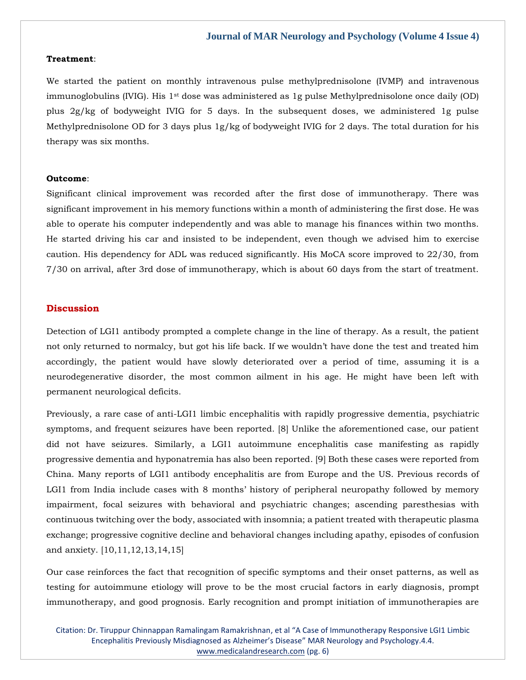#### **Treatment**:

We started the patient on monthly intravenous pulse methylprednisolone (IVMP) and intravenous immunoglobulins (IVIG). His  $1<sup>st</sup>$  dose was administered as 1g pulse Methylprednisolone once daily (OD) plus 2g/kg of bodyweight IVIG for 5 days. In the subsequent doses, we administered 1g pulse Methylprednisolone OD for 3 days plus 1g/kg of bodyweight IVIG for 2 days. The total duration for his therapy was six months.

#### **Outcome**:

Significant clinical improvement was recorded after the first dose of immunotherapy. There was significant improvement in his memory functions within a month of administering the first dose. He was able to operate his computer independently and was able to manage his finances within two months. He started driving his car and insisted to be independent, even though we advised him to exercise caution. His dependency for ADL was reduced significantly. His MoCA score improved to 22/30, from 7/30 on arrival, after 3rd dose of immunotherapy, which is about 60 days from the start of treatment.

#### **Discussion**

Detection of LGI1 antibody prompted a complete change in the line of therapy. As a result, the patient not only returned to normalcy, but got his life back. If we wouldn't have done the test and treated him accordingly, the patient would have slowly deteriorated over a period of time, assuming it is a neurodegenerative disorder, the most common ailment in his age. He might have been left with permanent neurological deficits.

Previously, a rare case of anti-LGI1 limbic encephalitis with rapidly progressive dementia, psychiatric symptoms, and frequent seizures have been reported. [8] Unlike the aforementioned case, our patient did not have seizures. Similarly, a LGI1 autoimmune encephalitis case manifesting as rapidly progressive dementia and hyponatremia has also been reported. [9] Both these cases were reported from China. Many reports of LGI1 antibody encephalitis are from Europe and the US. Previous records of LGI1 from India include cases with 8 months' history of peripheral neuropathy followed by memory impairment, focal seizures with behavioral and psychiatric changes; ascending paresthesias with continuous twitching over the body, associated with insomnia; a patient treated with therapeutic plasma exchange; progressive cognitive decline and behavioral changes including apathy, episodes of confusion and anxiety. [10,11,12,13,14,15]

Our case reinforces the fact that recognition of specific symptoms and their onset patterns, as well as testing for autoimmune etiology will prove to be the most crucial factors in early diagnosis, prompt immunotherapy, and good prognosis. Early recognition and prompt initiation of immunotherapies are

Citation: Dr. Tiruppur Chinnappan Ramalingam Ramakrishnan, et al "A Case of Immunotherapy Responsive LGI1 Limbic Encephalitis Previously Misdiagnosed as Alzheimer's Disease" MAR Neurology and Psychology.4.4. [www.medicalandresearch.com](http://www.medicalandresearch.com/) (pg. 6)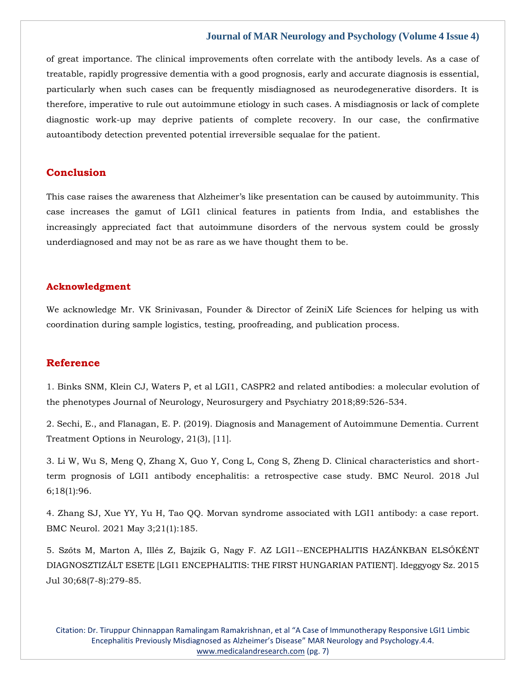of great importance. The clinical improvements often correlate with the antibody levels. As a case of treatable, rapidly progressive dementia with a good prognosis, early and accurate diagnosis is essential, particularly when such cases can be frequently misdiagnosed as neurodegenerative disorders. It is therefore, imperative to rule out autoimmune etiology in such cases. A misdiagnosis or lack of complete diagnostic work-up may deprive patients of complete recovery. In our case, the confirmative autoantibody detection prevented potential irreversible sequalae for the patient.

# **Conclusion**

This case raises the awareness that Alzheimer's like presentation can be caused by autoimmunity. This case increases the gamut of LGI1 clinical features in patients from India, and establishes the increasingly appreciated fact that autoimmune disorders of the nervous system could be grossly underdiagnosed and may not be as rare as we have thought them to be.

#### **Acknowledgment**

We acknowledge Mr. VK Srinivasan, Founder & Director of ZeiniX Life Sciences for helping us with coordination during sample logistics, testing, proofreading, and publication process.

# **Reference**

[1. Binks SNM, Klein CJ, Waters P, et al LGI1, CASPR2 and related antibodies: a molecular evolution of](https://www.google.com/search?q=CASPR2+and+related+antibodies%3A+a+molecular+evolution+of+the+phenotypes&oq=CASPR2+and+related+antibodies%3A+a+molecular+evolution+of+the+phenotypes&aqs=chrome..69i57.2531j0j7&sourceid=chrome&ie=UTF-8)  [the phenotypes Journal of Neurology, Neurosurgery and Psychiatry 2018;89:526-534.](https://www.google.com/search?q=CASPR2+and+related+antibodies%3A+a+molecular+evolution+of+the+phenotypes&oq=CASPR2+and+related+antibodies%3A+a+molecular+evolution+of+the+phenotypes&aqs=chrome..69i57.2531j0j7&sourceid=chrome&ie=UTF-8)

[2. Sechi, E., and Flanagan, E. P. \(2019\). Diagnosis and Management of Autoimmune Dementia. Current](https://www.google.com/search?q=Diagnosis+and+Management+of+Autoimmune+Dementia&sxsrf=APq-WBt2wHbMiPpwOiCMINDETRq1MxQ1ug%3A1647926493446&ei=3Vw5YtrcGrGF4t4Pwq-rIA&ved=0ahUKEwiav4fK_Nj2AhWxgtgFHcLXCgQQ4dUDCA4&oq=Diagnosis+and+Management+of+Autoimmune+Dementia&gs_lcp=Cgdnd3Mtd2l6EAwyBggAEBYQHjoHCCMQ6gIQJ0oECEEYAEoECEYYAFD1AVj1AWDoGmgBcAF4AIABY4gBY5IBATGYAQCgAQGgAQKwAQrAAQE&sclient=gws-wiz)  Treatment [Options in Neurology, 21\(3\), \[11\].](https://www.google.com/search?q=Diagnosis+and+Management+of+Autoimmune+Dementia&sxsrf=APq-WBt2wHbMiPpwOiCMINDETRq1MxQ1ug%3A1647926493446&ei=3Vw5YtrcGrGF4t4Pwq-rIA&ved=0ahUKEwiav4fK_Nj2AhWxgtgFHcLXCgQQ4dUDCA4&oq=Diagnosis+and+Management+of+Autoimmune+Dementia&gs_lcp=Cgdnd3Mtd2l6EAwyBggAEBYQHjoHCCMQ6gIQJ0oECEEYAEoECEYYAFD1AVj1AWDoGmgBcAF4AIABY4gBY5IBATGYAQCgAQGgAQKwAQrAAQE&sclient=gws-wiz)

[3. Li W, Wu S, Meng Q, Zhang X, Guo Y, Cong L, Cong S, Zheng D. Clinical characteristics and short](https://www.google.com/search?q=Clinical+characteristics+and+short-term+prognosis+of+LGI1+antibody+encephalitis%3A+a+retrospective+case+study&sxsrf=APq-WBvqenegpDvS9UH7UDLymTUIWu-wbg%3A1647926513296&ei=8Vw5YtjeEcLZz7sPrK2V2AE&ved=0ahUKEwiYm8PT_Nj2AhXC7HMBHaxWBRsQ4dUDCA4&oq=Clinical+characteristics+and+short-term+prognosis+of+LGI1+antibody+encephalitis%3A+a+retrospective+case+study&gs_lcp=Cgdnd3Mtd2l6EAwyBwgjEOoCECcyBwgjEOoCECcyBwgjEOoCECcyBwgjEOoCECcyBwgjEOoCECcyBwgjEOoCECcyBwgjEOoCECcyBwgjEOoCECcyBwgjEOoCECcyBwgjEOoCECdKBAhBGABKBAhGGABQ1QJY1QJgsAdoAXABeACAAQCIAQCSAQCYAQCgAQGgAQKwAQrAAQE&sclient=gws-wiz)[term prognosis of LGI1 antibody encephalitis: a retrospective case study. BMC Neurol. 2018 Jul](https://www.google.com/search?q=Clinical+characteristics+and+short-term+prognosis+of+LGI1+antibody+encephalitis%3A+a+retrospective+case+study&sxsrf=APq-WBvqenegpDvS9UH7UDLymTUIWu-wbg%3A1647926513296&ei=8Vw5YtjeEcLZz7sPrK2V2AE&ved=0ahUKEwiYm8PT_Nj2AhXC7HMBHaxWBRsQ4dUDCA4&oq=Clinical+characteristics+and+short-term+prognosis+of+LGI1+antibody+encephalitis%3A+a+retrospective+case+study&gs_lcp=Cgdnd3Mtd2l6EAwyBwgjEOoCECcyBwgjEOoCECcyBwgjEOoCECcyBwgjEOoCECcyBwgjEOoCECcyBwgjEOoCECcyBwgjEOoCECcyBwgjEOoCECcyBwgjEOoCECcyBwgjEOoCECdKBAhBGABKBAhGGABQ1QJY1QJgsAdoAXABeACAAQCIAQCSAQCYAQCgAQGgAQKwAQrAAQE&sclient=gws-wiz)  [6;18\(1\):96.](https://www.google.com/search?q=Clinical+characteristics+and+short-term+prognosis+of+LGI1+antibody+encephalitis%3A+a+retrospective+case+study&sxsrf=APq-WBvqenegpDvS9UH7UDLymTUIWu-wbg%3A1647926513296&ei=8Vw5YtjeEcLZz7sPrK2V2AE&ved=0ahUKEwiYm8PT_Nj2AhXC7HMBHaxWBRsQ4dUDCA4&oq=Clinical+characteristics+and+short-term+prognosis+of+LGI1+antibody+encephalitis%3A+a+retrospective+case+study&gs_lcp=Cgdnd3Mtd2l6EAwyBwgjEOoCECcyBwgjEOoCECcyBwgjEOoCECcyBwgjEOoCECcyBwgjEOoCECcyBwgjEOoCECcyBwgjEOoCECcyBwgjEOoCECcyBwgjEOoCECcyBwgjEOoCECdKBAhBGABKBAhGGABQ1QJY1QJgsAdoAXABeACAAQCIAQCSAQCYAQCgAQGgAQKwAQrAAQE&sclient=gws-wiz)

[4. Zhang SJ, Xue YY, Yu H, Tao QQ. Morvan syndrome associated with LGI1 antibody: a case report.](https://www.google.com/search?q=Morvan+syndrome+associated+with+LGI1+antibody%3A+a+case+report&sxsrf=APq-WBsgmuaTeRJyWDgxVP9_yGFVt-n8tQ%3A1647926528299&ei=AF05Ysj0EYOb4t4Pr4-mKA&ved=0ahUKEwjI9Nba_Nj2AhWDjdgFHa-HCQUQ4dUDCA4&oq=Morvan+syndrome+associated+with+LGI1+antibody%3A+a+case+report&gs_lcp=Cgdnd3Mtd2l6EAw6BwgjEOoCECdKBAhBGABKBAhGGABQpQJYpQJgigpoAXABeACAAaMBiAGjAZIBAzAuMZgBAKABAaABArABCsABAQ&sclient=gws-wiz)  [BMC Neurol. 2021 May 3;21\(1\):185.](https://www.google.com/search?q=Morvan+syndrome+associated+with+LGI1+antibody%3A+a+case+report&sxsrf=APq-WBsgmuaTeRJyWDgxVP9_yGFVt-n8tQ%3A1647926528299&ei=AF05Ysj0EYOb4t4Pr4-mKA&ved=0ahUKEwjI9Nba_Nj2AhWDjdgFHa-HCQUQ4dUDCA4&oq=Morvan+syndrome+associated+with+LGI1+antibody%3A+a+case+report&gs_lcp=Cgdnd3Mtd2l6EAw6BwgjEOoCECdKBAhBGABKBAhGGABQpQJYpQJgigpoAXABeACAAaMBiAGjAZIBAzAuMZgBAKABAaABArABCsABAQ&sclient=gws-wiz)

[5. Szőts M, Marton A, Illés Z, Bajzik G, Nagy F. AZ LGI1](https://www.google.com/search?q=AZ+LGI1--ENCEPHALITIS+HAZ%C3%81NKBAN+ELS%C5%90K%C3%89NT+DIAGNOSZTIZ%C3%81LT+ESETE+%5BLGI1+ENCEPHALITIS%3A+THE+FIRST+HUNGARIAN+PATIENT%5D.+&sxsrf=APq-WBtriqdD3tfAYUo7i2PcZFVODonsvw%3A1647926550720&ei=Fl05YrbRK8ip3LUP0tO0oAI&ved=0ahUKEwi2tK_l_Nj2AhXIFLcAHdIpDSQQ4dUDCA4&oq=AZ+LGI1--ENCEPHALITIS+HAZ%C3%81NKBAN+ELS%C5%90K%C3%89NT+DIAGNOSZTIZ%C3%81LT+ESETE+%5BLGI1+ENCEPHALITIS%3A+THE+FIRST+HUNGARIAN+PATIENT%5D.+&gs_lcp=Cgdnd3Mtd2l6EAwyBwgjEOoCECcyBwgjEOoCECcyBwgjEOoCECcyBwgjEOoCECcyBwgjEOoCECcyBwgjEOoCECcyBwgjEOoCECcyBwgjEOoCECcyBwgjEOoCECcyBwgjEOoCECdKBAhBGABKBAhGGABQkwJYkwJgzQdoAXAAeACAAQCIAQCSAQCYAQCgAQGgAQKwAQrAAQE&sclient=gws-wiz)--ENCEPHALITIS HAZÁNKBAN ELSŐKÉNT [DIAGNOSZTIZÁLT ESETE \[LGI1 ENCEPHALITIS: THE FIRST HUNGARIAN PATIENT\]. Ideggyogy Sz. 2015](https://www.google.com/search?q=AZ+LGI1--ENCEPHALITIS+HAZ%C3%81NKBAN+ELS%C5%90K%C3%89NT+DIAGNOSZTIZ%C3%81LT+ESETE+%5BLGI1+ENCEPHALITIS%3A+THE+FIRST+HUNGARIAN+PATIENT%5D.+&sxsrf=APq-WBtriqdD3tfAYUo7i2PcZFVODonsvw%3A1647926550720&ei=Fl05YrbRK8ip3LUP0tO0oAI&ved=0ahUKEwi2tK_l_Nj2AhXIFLcAHdIpDSQQ4dUDCA4&oq=AZ+LGI1--ENCEPHALITIS+HAZ%C3%81NKBAN+ELS%C5%90K%C3%89NT+DIAGNOSZTIZ%C3%81LT+ESETE+%5BLGI1+ENCEPHALITIS%3A+THE+FIRST+HUNGARIAN+PATIENT%5D.+&gs_lcp=Cgdnd3Mtd2l6EAwyBwgjEOoCECcyBwgjEOoCECcyBwgjEOoCECcyBwgjEOoCECcyBwgjEOoCECcyBwgjEOoCECcyBwgjEOoCECcyBwgjEOoCECcyBwgjEOoCECcyBwgjEOoCECdKBAhBGABKBAhGGABQkwJYkwJgzQdoAXAAeACAAQCIAQCSAQCYAQCgAQGgAQKwAQrAAQE&sclient=gws-wiz)  [Jul 30;68\(7-8\):279-85.](https://www.google.com/search?q=AZ+LGI1--ENCEPHALITIS+HAZ%C3%81NKBAN+ELS%C5%90K%C3%89NT+DIAGNOSZTIZ%C3%81LT+ESETE+%5BLGI1+ENCEPHALITIS%3A+THE+FIRST+HUNGARIAN+PATIENT%5D.+&sxsrf=APq-WBtriqdD3tfAYUo7i2PcZFVODonsvw%3A1647926550720&ei=Fl05YrbRK8ip3LUP0tO0oAI&ved=0ahUKEwi2tK_l_Nj2AhXIFLcAHdIpDSQQ4dUDCA4&oq=AZ+LGI1--ENCEPHALITIS+HAZ%C3%81NKBAN+ELS%C5%90K%C3%89NT+DIAGNOSZTIZ%C3%81LT+ESETE+%5BLGI1+ENCEPHALITIS%3A+THE+FIRST+HUNGARIAN+PATIENT%5D.+&gs_lcp=Cgdnd3Mtd2l6EAwyBwgjEOoCECcyBwgjEOoCECcyBwgjEOoCECcyBwgjEOoCECcyBwgjEOoCECcyBwgjEOoCECcyBwgjEOoCECcyBwgjEOoCECcyBwgjEOoCECcyBwgjEOoCECdKBAhBGABKBAhGGABQkwJYkwJgzQdoAXAAeACAAQCIAQCSAQCYAQCgAQGgAQKwAQrAAQE&sclient=gws-wiz)

Citation: Dr. Tiruppur Chinnappan Ramalingam Ramakrishnan, et al "A Case of Immunotherapy Responsive LGI1 Limbic Encephalitis Previously Misdiagnosed as Alzheimer's Disease" MAR Neurology and Psychology.4.4. [www.medicalandresearch.com](http://www.medicalandresearch.com/) (pg. 7)